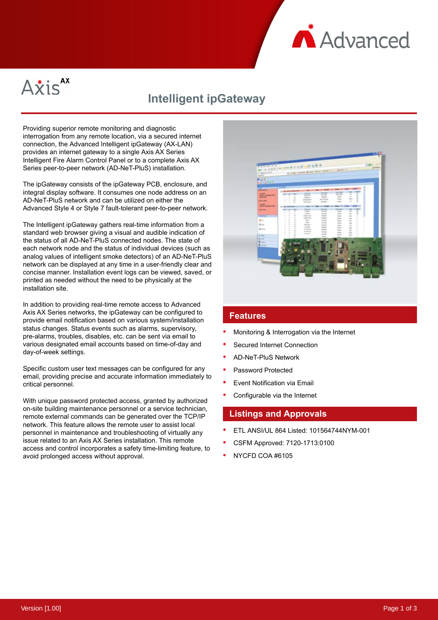



# **Intelligent ipGateway**

Providing superior remote monitoring and diagnostic interrogation from any remote location, via a secured internet connection, the Advanced Intelligent ipGateway (AX-LAN) provides an internet gateway to a single Axis AX Series Intelligent Fire Alarm Control Panel or to a complete Axis AX Series peer-to-peer network (AD-NeT-PluS) installation.

The ipGateway consists of the ipGateway PCB, enclosure, and integral display software. It consumes one node address on an AD-NeT-PluS network and can be utilized on either the Advanced Style 4 or Style 7 fault-tolerant peer-to-peer network.

The Intelligent ipGateway gathers real-time information from a standard web browser giving a visual and audible indication of the status of all AD-NeT-PluS connected nodes. The state of each network node and the status of individual devices (such as analog values of intelligent smoke detectors) of an AD-NeT-PluS network can be displayed at any time in a user-friendly clear and concise manner. Installation event logs can be viewed, saved, or printed as needed without the need to be physically at the installation site.

In addition to providing real-time remote access to Advanced Axis AX Series networks, the ipGateway can be configured to provide email notification based on various system/installation status changes. Status events such as alarms, supervisory, pre-alarms, troubles, disables, etc. can be sent via email to various designated email accounts based on time-of-day and day-of-week settings.

Specific custom user text messages can be configured for any email, providing precise and accurate information immediately to critical personnel.

With unique password protected access, granted by authorized on-site building maintenance personnel or a service technician, remote external commands can be generated over the TCP/IP network. This feature allows the remote user to assist local personnel in maintenance and troubleshooting of virtually any issue related to an Axis AX Series installation. This remote access and control incorporates a safety time-limiting feature, to avoid prolonged access without approval.



#### **Features**

- Monitoring & Interrogation via the Internet
- Secured Internet Connection
- AD-NeT-PluS Network
- Password Protected
- Event Notification via Email
- Configurable via the Internet

#### **Listings and Approvals**

- ETL ANSI/UL 864 Listed: 101564744NYM-001
- CSFM Approved: 7120-1713:0100
- NYCFD COA #6105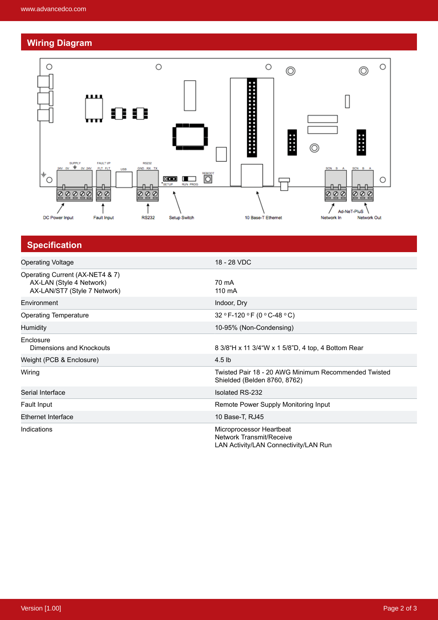## **Wiring Diagram**



| <b>Specification</b>                                                                        |                                                                                               |
|---------------------------------------------------------------------------------------------|-----------------------------------------------------------------------------------------------|
| <b>Operating Voltage</b>                                                                    | 18 - 28 VDC                                                                                   |
| Operating Current (AX-NET4 & 7)<br>AX-LAN (Style 4 Network)<br>AX-LAN/ST7 (Style 7 Network) | 70 mA<br>110 mA                                                                               |
| Environment                                                                                 | Indoor, Dry                                                                                   |
| <b>Operating Temperature</b>                                                                | 32 ° F-120 ° F (0 ° C-48 ° C)                                                                 |
| Humidity                                                                                    | 10-95% (Non-Condensing)                                                                       |
| Enclosure<br>Dimensions and Knockouts                                                       | 8 3/8 H x 11 3/4 W x 1 5/8 D, 4 top, 4 Bottom Rear                                            |
| Weight (PCB & Enclosure)                                                                    | $4.5$ lb                                                                                      |
| Wiring                                                                                      | Twisted Pair 18 - 20 AWG Minimum Recommended Twisted<br>Shielded (Belden 8760, 8762)          |
| Serial Interface                                                                            | <b>Isolated RS-232</b>                                                                        |
| Fault Input                                                                                 | Remote Power Supply Monitoring Input                                                          |
| <b>Ethernet Interface</b>                                                                   | 10 Base-T, RJ45                                                                               |
| Indications                                                                                 | Microprocessor Heartbeat<br>Network Transmit/Receive<br>LAN Activity/LAN Connectivity/LAN Run |